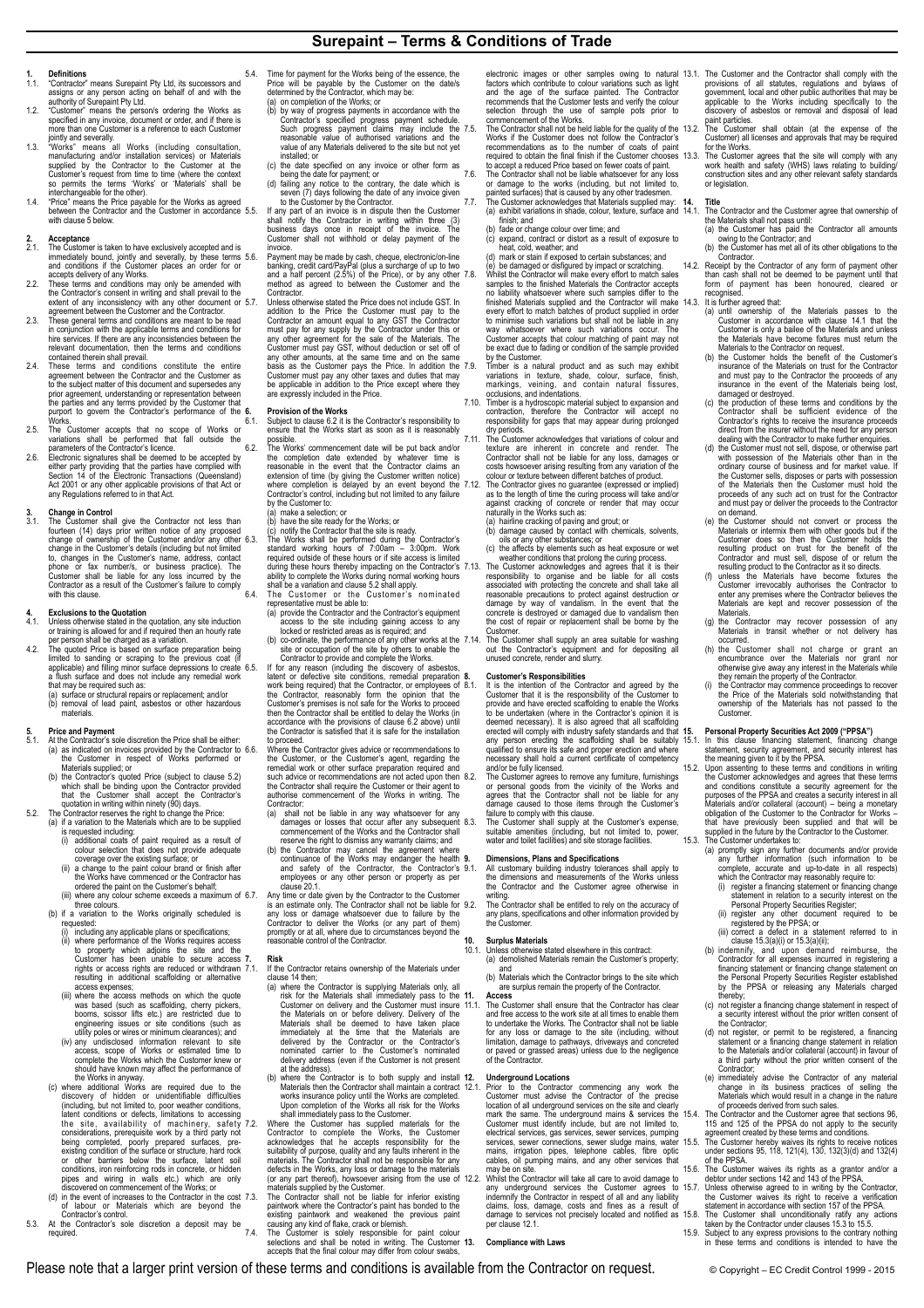**Surepaint – Terms & Conditions of Trade** 

- **1. 1. Contractor**" means Surepaint Pty Ltd, its successors and assigns or any person acting on behalf of and with the authority of Surepaint Pty Ltd.
- 1.2. "Customer" means the person/s ordering the Works as specified in any invoice, document or order, and if there is more than one Customer is a reference to each Customer
- jointly and severally.<br>1.3. "Works" means all Works (including consultation,<br>manufacturing and/or installation services) or Materials<br>supplied by the Contractor to the Customer at the Customer's request from time to time (where the context<br>so permits the terms 'Works' or 'Materials' shall be<br>interchangeable for the other).<br>1.4. "Price" means the Price payable for the Works as agreed<br>between the Contract
- with clause 5 below.

- **2.1. Acceptance**<br> **2.1.** The Customer is taken to have exclusively accepted and is<br>
immediately bound, jointly and severally, by these terms<br>
and conditions if the Customer places an order for or accepts delivery of any Works.
- 2.2. These terms and conditions may only be amended with the Contractor's consent in writing and shall prevail to the
- extent of any inconsistency with any other document or<br>agreement between the Customer and the Contractor.<br>These general terms and conditions are meant to be read<br>in conjunction with the applicable terms and conditions for<br>
- contained therein shall prevail. 2.4. These terms and conditions constitute the entire agreement between the Contractor and the Customer as to the subject matter of this document and supersedes any prior agreement, understanding or representation between the parties and any terms provided by the Customer that purport to govern the Contractor's performance of the 6<br>Works
- 
- Works.<br>25. The Customer accepts that no scope of Works or<br>variations shall be performed that fall outside the<br>parameters of the Contractor's licence.<br>Electronic signatures shall be deemed to be accepted by<br>either party pro Act 2001 or any other applicable provisions of that Act or any Regulations referred to in that Act.

**3. Change in Control**  3.1. The Customer shall give the Contractor not less than fourteen (14) days prior written notice of any proposed<br>change of ownership of the Customer and/or any other<br>change in the Customer's details (including but not limited<br>to, changes in the Customer's name, address, contact phone or fax number/s, or business practice). The Customer shall be liable for any loss incurred by the Contractor as a result of the Customer's failure to comply with this clause.

- 
- 4. **Exclusions to the Quotation**<br>4.1. Unless otherwise stated in the quotation, any site induction<br>or training is allowed for and if required then an hourly rate<br>per person shall be charged as a variation.<br>4.2. The quoted (a) surface or structural repairs or replacement; and/or (b) removal of lead paint, asbestos or other hazardous

# materials.

- 5. Price and Payment<br>
6.1. At the Contractor's sole discretion the Price shall be either.<br>
(a) as indicated on invoices provided by the Contractor to<br>
the Customer in respect of Works performed or<br>
Materials supplied; or<br>
- which shall be binding upon the Contractor provided that the Customer shall accept the Contractor's
- quotation in writing within ninety (90) days.<br>5.2. The Contractor reserves the right to change the Price:<br>(a) if a variation to the Materials which are to be supplied)
	- is requested including:<br>
	(i) additional coats of paint required as a result of<br>
	coverage over the existing surface; or<br>
	coverage over the paint colour brand or finish after<br>
	(ii) a change to the paint colour brand or finis
	- the Works have commenced or the Contractor has
	- ordered the paint on the Customer's behalf; (iii) where any colour scheme exceeds a maximum of three colours.
	- (b) if a variation to the Works originally scheduled is
		-
		- requested:<br>(i) including any applicable plans or specifications;<br>(ii) where performance of the Works requires access<br>to property which adjoins: the site and the<br>Customer has been unable to secure access<br>rights or access ri access expenses;<br>(iii) where the access methods on which the quote
		- (iii) where the access methods on which the quote was based (such as scaffolding, cherry pickers, booms, scissor lifts etc.) are restricted due to enqineering issues or site conditions (such as utility poles or wires or mi
	- the Works in anyway. (c) where additional Works are required due to the
	- discovery of hidden or unidentifiable difficulties<br>(including, but not limited to, poor weather conditions,<br>latent conditions or defects, limitations to accessing<br>the site, availability of machinery, safety<br>considerations, or other barriers below the surface, latent conditions, iron reinforcing rods in concrete, or hidden pipes and wiring in walls etc.) which are only discovered on commencement of the Works; or
	- (d) in the event of increases to the Contractor in the cost 7.3 of labour or Materials which are beyond the Contractor's control.
- 5.3. At the Contractor's sole discretion a deposit may be<br>required.  $7.4$ . required.
- 5.4. Time for payment for the Works being of the essence, the Price will be payable by the Customer on the date/s determined by the Contractor, which may be:
	- (a) on completion of the Works; or<br>(b) by way of progress payments (b) by way of progress payments in accordance with the Contractor's specified progress payment schedule.<br>Such progress payment claims may include the Such progress payment claims may include the reasonable value of authori
	-
	-
- value of any Materials delivered to the site but not yet<br>installed; or<br>(c) the date specified on any invoice or other form as<br>being the date for payment; or<br>(d) failing any notice to the contrary, the date which is<br>seven (

5.6. Payment may be made by cash, cheque, electronic/on-line<br>banking, credit card/PayPal (plus a surcharge of up to two<br>and a half percent (2.5%) of the Price), or by any other<br>method as agreed to between the Customer and

Contractor.<br>Unless otherwise stated the Price does not include GST. In 5.7. Unless otherwise stated the Price does not include GST. In addition to the Price the Customer must pay to the Contractor an amount equal to any GST the Contractor must pay for any supply by the Contractor under this o be applicable in addition to the Price except where they are expressly included in the Price.

**6. Provision of the Works**  6.1. Subject to clause 6.2 it is the Contractor's responsibility to ensure that the Works start as soon as it is reasonably

possible. 6.2. The Works' commencement date will be put back and/or the completion date extended by whatever time is<br>reasonable in the event that the Contractor claims an<br>extension of time (by giving the Customer written notice)<br>where completion is delayed by an event beyond the<br>Contractor by the Customer to:<br>
(a) make a selectio<br>
(b) have the site real

- (a) make a selection; or (b) have the site ready for the Works; or
- 

(c) notify the Contractor that the site is ready.<br>
S.3. The Works shall be performed during the Contractor's<br>
standard working hours of 7:00am  $-$  3:00pm. Work<br>
required outside of these hours or if site access is limited

- 6.4. The Customer or the Customer 's nominated representative must be able to:
- (a) provide the Contractor and the Contractor's equipment<br>access to the site including gaining access to any<br>locked or restricted areas as is required; and<br>(b) co-ordinate, the performance of any other works at the<br>site or

the Contractor, reasonably form the opinion that the Customer's premises is not safe for the Works to proceed then the Contractor shall be entitled to delay the Works (in accordance with the provisions of clause 6.2 above) until the Contractor is satisfied that it is safe for the installation

to proceed. 6.6. Where the Contractor gives advice or recommendations to the Customer, or the Customer's agent, regarding the remedial work or other surface preparation required and such advice or recommendations are not acted upon then 8.2. the Contractor shall require the Customer or their agent to authorise commencement of the Works in writing. The

- 
- Contractor:<br>
Contractor and the liable in any way whatsoever for any<br>
(a) shall not be liable in any subsequent<br>
commencement of the Works and the Contractor shall<br>
reserve the right to disimiss any warranty claims; and<br>
(

6.7. Any time or date given by the Contractor to the Customer is an estimate only. The Contractor shall not be liable for any loss or damage whatsoever due to failure by the Contractor to deliver the Works (or any part of them) promptly or at all, where due to circumstances beyond the reasonable control of the Contractor.

**7. Risk**  7.1. If the Contractor retains ownership of the Materials under clause 14 then; (a) where the Contractor is supplying Materials only, all

- risk for the Materials shall immediately pass to the Customer on delivery and the Customer must insure the Materials on or before delivery. Delivery of the Materials shall be deemed to have taken place immediately at the t
- at the address).<br>(b) where the Contractor is to both supply and install 12.<br>Materials then the Contractor shall maintain a contract 12.1.

Materials then the Contractor shall maintain a contract<br>works insurance policy until the Works are completed.<br>Upon completion of the Works all risk for the Works<br>T.2. Where the Customer has supplied materials for the<br>Contr defects in the Works, any loss or damage to the materials (or any part thereof), howsoever arising from the use of materials supplied by the Customer. materials supplied by the Customer.<br>The Contractor shall not be liable for inferior existing

paintwork where the Contractor's paint has bonded to the existing paintwork and weakened the previous paint causing any kind of flake, crack or blemish.<br>T.4. The Customer is solely responsible for paint colour selections a

electronic images or other samples owing to natural<br>factors which contribute to colour variations such as light<br>and the age of the surface painted. The Contractor<br>recommends that the Customer tests and verify the colour selection through the use of sample pots prior to commencement of the Works. 7.5. The Contractor shall not be held liable for the quality of the

Works if the Customer does not follow the Contractor's<br>recommendations as to the number of coats of paint<br>required to obtain the final finish if the Customer chooses<br>to accept a reduced Price based on fewer coats of paint. 7.6. The Contractor shall not be liable whatsoever for any loss or damage to the works (including, but not limited to, painted surfaces) that is caused by any other tradesmen. 7.7. The Customer acknowledges that Materials supplied may: (a) exhibit variations in shade, colour, texture, surface and **14. Title** 

finish; and<br>
(b) fade or change colour over time; and<br>
(c) expand, contract or distort as a result of exposure to<br>
heat, cold, weather; and<br>
(d) mark or stain if exposed to certain substances; and<br>
(e) be damaged or disfig every effort to match batches of product supplied in order the minimized such variations but shall not be liable in any way whatsoever where such variations occur. The Customer accepts that colour matching of paint may not be exact due to fading or condition of the sample provided

by the Customer. 7.9. Timber is a natural product and as such may exhibit variations in texture, shade, colour, surface, finish, markings, veining, and contain natural fissures,

occlusions, and indentations. 7.10. Timber is a hydroscopic material subject to expansion and contraction, therefore the Contractor will accept no responsibility for gaps that may appear during prolonged

dry periods.<br>The Customer acknowledges that variations of colour and<br>texture are inherent in concrete and render. The<br>Contractor shall not be liable for any loss, damages or<br>costs howsoever arising resulting from any varia

7.12. The Contractor gives no guarantee (expressed or implied) as to the length of time the cuing process will take and/or against cracking of concrete or ender that may occurrely in the Works such as:<br>
(a) hairline crack reasonable precautions to protect against destruction or damage by way of vandalism. In the event that the concrete is destroyed or damaged due to vandalism then the cost of repair or replacement shall be borne by the

Customer. 7.14. The Customer shall supply an area suitable for washing out the Contractor's equipment and for depositing all unused concrete, render and slurry.

**8. Customer's Responsibilities**  8.1. It is the intention of the Contractor and agreed by the Customer that it is the responsibility of the Customer to provide and have erected scaffolding to enable the Works<br>to be undertaken (where in the Contractor's opinion it is to be undertaken (where in the Contractor's opinion it is<br>deemed necessary). It is also agreed that all scaffolding<br>erected will comply with industry safety standards and that<br>any person erecting the scaffolding shall be s **15.1. Personal Property Securities Act 2009 ("PPSA")**<br>15.1. In this clause financing statement, financing change<br>statement, security agreement, and security interest has<br>the meaning given to it by the PPSA. 15.2. Upon assenting to these terms and conditions in writing

and/or be fully licensed. 8.2. The Customer agrees to remove any furniture, furnishings or personal goods from the vicinity of the Works and agrees that the Contractor shall not be liable for any damage caused to those items through the Customer's

failure to comply with this clause.<br>8.3. The Customer shall supply at the Customer's expense,<br>suitable amenities (including, but not limited to, power,<br>water and toilet facilities) and site storage facilities. that have previously been supplied and that will be<br>supplied in the future by the Contractor to the Customer.<br>5.3. The Customer undertakes to:<br>(a) promptly sign any further documents and/or provide<br>any further information

**9. Dimensions, Plans and Specifications** 9.1. All customary building industry tolerances shall apply to the dimensions and measurements of the Works unless the Contractor and the Customer agree otherwise in writing. 9.2. The Contractor shall be entitled to rely on the accuracy of

any plans, specifications and other information provided by any piano,<br>the Custom

## **10. Surplus Materials**

10.1. Unless otherwise stated elsewhere in this contract: (a) demolished Materials remain the Customer's property; and (b) Materials which the Contractor brings to the site which

are surplus remain the property of the Contractor. **11. Access**

11.1. The Customer shall ensure that the Contractor has clear and free access to the work site at all times to enable them to undertake the Works. The Contractor shall not be liable<br>for any loss or damage to the site (including, without<br>limitation, damage to pathways, driveways and concreted<br>or paved or grassed areas) unless due to the neglige of the Contractor.

## **12. Underground Locations**

12.1. Prior to the Contractor commencing any work the Customer must advise the Contractor of the precise location of all underground services on the site and clearly<br>mark the same. The underground mains & services the<br>Customer must identify include, but are not limited to,<br>electrical services, gas services, sewer scruces, pum of proceeds deived from such sales.<br>The Contractor and the Customer agree that sections 96,<br>115 and 125 of the PPSA do not apply to the security<br>agreement cracted by these terms and conditions.<br>15.5. The Customer hereby wa

may be on site.<br>22. Whilst the Contractor will take all care to avoid damage to<br>any underground services the Customer agrees to<br>indemnify the Contractor in respect of all and any liability<br>claims, loss, damage, costs and f 15.6. The Customer waives its rights as a grantor and/or a debtor under sections 142 and 143 of the PPSA.<br>15.7. Unless otherwise agreed to in writing by the Contractor, the Customer waives its right to receive a verificati

## **13. Compliance with Laws**

Please note that a larger print version of these terms and conditions is available from the Contractor on request. © Copyright – EC Credit Control 1999 - 2015

- 13.1. The Customer and the Contractor shall comply with the provisions of all statutes, regulations and bylaws of government, local and other public authorities that may be goplicable to the Works including specifically to applicable to the Works including specifically to the discovery of asbestos or removal and disposal of lead
- paint particles. 13.2. The Customer shall obtain (at the expense of the Customer) all licenses and approvals that may be required for the Works.
- 13.3. The Customer agrees that the site will comply with any work health and safety (WHS) laws relating to building/ construction sites and any other relevant safety standards or legislation.

- The Contractor and the Customer agree that ownership of the Materials shall not pass until: (a) the Customer has paid the Contractor all amounts owing to the Contractor; and
- 
- (b) the Customer has met all of its other obligations to the<br>14.2. Receipt by the Contractor of any form of payment other<br>than cash shall not be deemed to be payment until that<br>form of payment has been honoured, cleared or
- -
	- Customer in accordance with clause 14.1 that the<br>Customer is only a bailee of the Materials and unless<br>the Materials have become fixtures must return the<br>Materials to the Contractor on request.<br>(b) the Customer holds the b damaged or destroyed. (c) the production of these terms and conditions by the
	- Contractor shall be sufficient evidence of the Contractor's rights to receive the insurance proceeds
	- direct from the insurer without the need for any person<br>dealing with the Contractor to make further enquiries.<br>(d) the Customer must not sell, dispose, or otherwise part<br>with possession of the Materials other than in the<br>d proceeds of any such act on trust for the Contractor and must pay or deliver the proceeds to the Contractor
	- on demand.<br>the Customer should not convert or process the (e) the Customer should not convert or process the Materials or intermix them with other goods but if the Customer does so them the Customer holds the resulting product on trust for the benefit of the Contractor and must s
	- Materials are kept and recover possession of the **Materials**
	- (g) the Contractor may recover possession of any Materials in transit whether or not delivery has occurred. (h) the Customer shall not charge or grant an encumbrance over the Materials nor grant nor

otherwise give away any interest in the Materials while they remain the property of the Contractor. (i) the Contractor may commence proceedings to recover the Price of the Materials sold notwithstanding that ownership of the Materials has not passed to the

the Customer acknowledges and agrees that these terms and conditions constitute a security agreement for the purposes of the PPSA and creates a security interest in all Materials and/or collateral (account) – being a monetary obligation of the Customer to the Contractor for Works –

(i) register a financing statement or financing change statement in relation to a security interest on the

Personal Property Securities Register;<br>
(ii) register any other document required to be<br>
registered by the PPSA; or<br>
(iii) correct a defect in a statement referred to in<br>
clause 15.3(a)(i) or 15.3(a)(ii);<br>
(b) indemnity, a

(c) not register a financing change statement in respect of a security interest without the prior written consent of the Contractor;<br>
(d) not register or permit to be registered, a financing<br>
statement or a financing change statement in relation<br>
to the Materials and/or collateral (account) in favour of a third party without the prior written consent of the Contractor; (e) immediately advise the Contractor of any material change in its business practices of selling the Materials which would result in a change in the nature

Customer.

thereby;